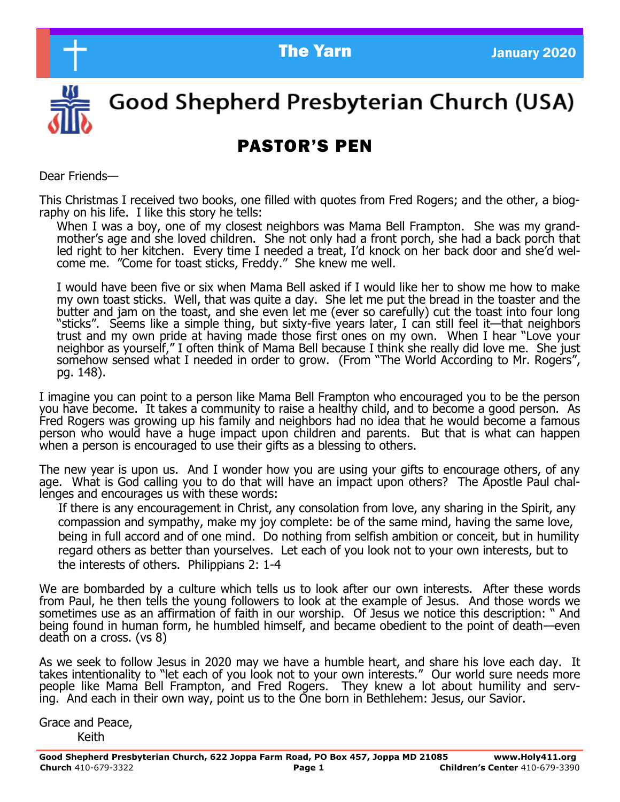



# Good Shepherd Presbyterian Church (USA)

### PASTOR'S PEN

Dear Friends—

This Christmas I received two books, one filled with quotes from Fred Rogers; and the other, a biography on his life. I like this story he tells:

When I was a boy, one of my closest neighbors was Mama Bell Frampton. She was my grandmother's age and she loved children. She not only had a front porch, she had a back porch that led right to her kitchen. Every time I needed a treat, I'd knock on her back door and she'd welcome me. "Come for toast sticks, Freddy." She knew me well.

I would have been five or six when Mama Bell asked if I would like her to show me how to make my own toast sticks. Well, that was quite a day. She let me put the bread in the toaster and the butter and jam on the toast, and she even let me (ever so carefully) cut the toast into four long "sticks". Seems like a simple thing, but sixty-five years later, I can still feel it—that neighbors trust and my own pride at having made those first ones on my own. When I hear "Love your neighbor as yourself," I often think of Mama Bell because I think she really did love me. She just somehow sensed what I needed in order to grow. (From "The World According to Mr. Rogers", pg. 148).

I imagine you can point to a person like Mama Bell Frampton who encouraged you to be the person you have become. It takes a community to raise a healthy child, and to become a good person. As Fred Rogers was growing up his family and neighbors had no idea that he would become a famous person who would have a huge impact upon children and parents. But that is what can happen when a person is encouraged to use their gifts as a blessing to others.

The new year is upon us. And I wonder how you are using your gifts to encourage others, of any age. What is God calling you to do that will have an impact upon others? The Apostle Paul challenges and encourages us with these words:

 If there is any encouragement in Christ, any consolation from love, any sharing in the Spirit, any compassion and sympathy, make my joy complete: be of the same mind, having the same love, being in full accord and of one mind. Do nothing from selfish ambition or conceit, but in humility regard others as better than yourselves. Let each of you look not to your own interests, but to the interests of others. Philippians 2: 1-4

We are bombarded by a culture which tells us to look after our own interests. After these words from Paul, he then tells the young followers to look at the example of Jesus. And those words we sometimes use as an affirmation of faith in our worship. Of Jesus we notice this description: " And being found in human form, he humbled himself, and became obedient to the point of death—even death on a cross. (vs 8)

As we seek to follow Jesus in 2020 may we have a humble heart, and share his love each day. It takes intentionality to "let each of you look not to your own interests." Our world sure needs more people like Mama Bell Frampton, and Fred Rogers. They knew a lot about humility and serving. And each in their own way, point us to the One born in Bethlehem: Jesus, our Savior.

Grace and Peace, Keith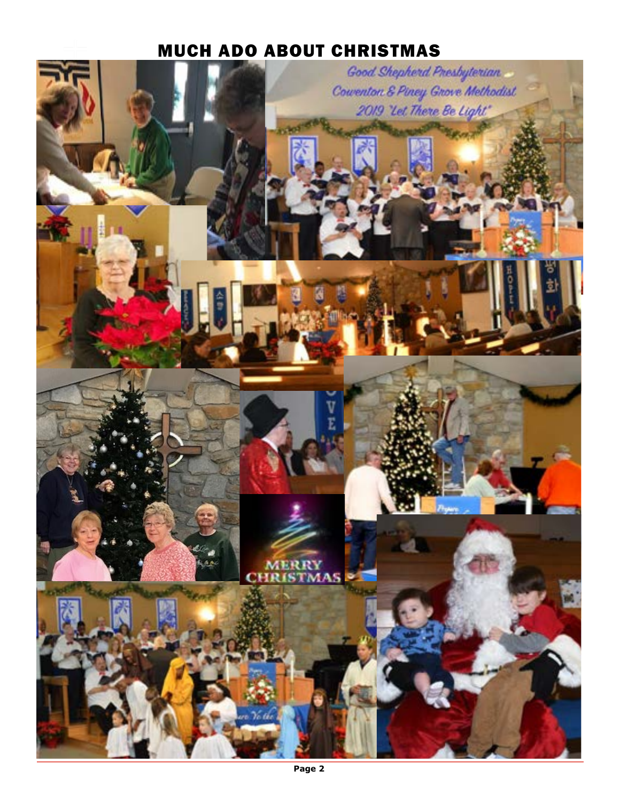### MUCH ADO ABOUT CHRISTMAS

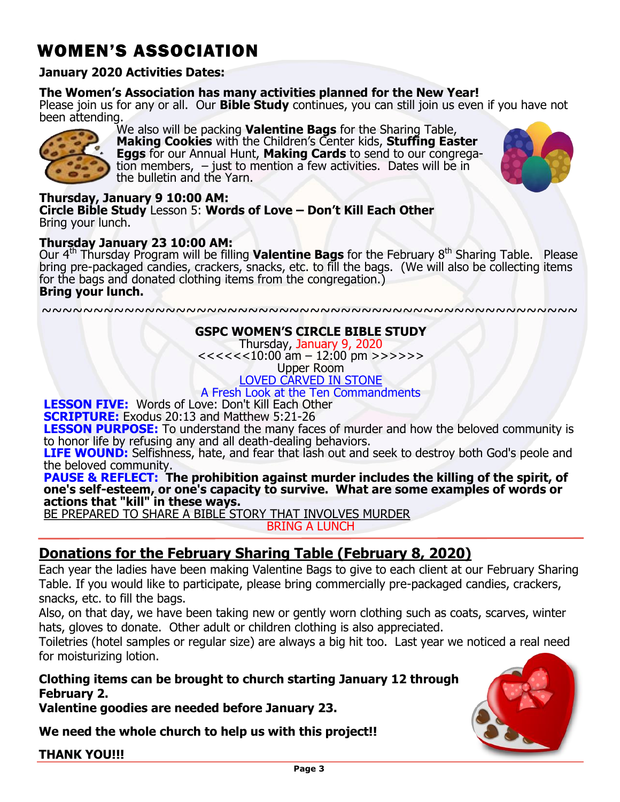### WOMEN'S ASSOCIATION

#### **January 2020 Activities Dates:**

#### **The Women's Association has many activities planned for the New Year!**

Please join us for any or all. Our **Bible Study** continues, you can still join us even if you have not been attending.



We also will be packing **Valentine Bags** for the Sharing Table, **Making Cookies** with the Children's Center kids, **Stuffing Easter Eggs** for our Annual Hunt, **Making Cards** to send to our congregation members, – just to mention a few activities. Dates will be in the bulletin and the Yarn.



**Thursday, January 9 10:00 AM: Circle Bible Study** Lesson 5: **Words of Love – Don't Kill Each Other** Bring your lunch.

#### **Thursday January 23 10:00 AM:**

Our 4th Thursday Program will be filling **Valentine Bags** for the February 8th Sharing Table.Please bring pre-packaged candies, crackers, snacks, etc. to fill the bags. (We will also be collecting items for the bags and donated clothing items from the congregation.) **Bring your lunch.**

~~~~~~~~~~~~~~~~~~~~~~~~~~~~~~~~~~~~~~~~~~~~~~~~~~~~

#### **GSPC WOMEN'S CIRCLE BIBLE STUDY**

Thursday, January 9, 2020

 $<<<<10:00$  am  $-12:00$  pm  $>>>>>$ 

Upper Room

LOVED CARVED IN STONE

A Fresh Look at the Ten Commandments

**LESSON FIVE:** Words of Love: Don't Kill Each Other **SCRIPTURE:** Exodus 20:13 and Matthew 5:21-26

**LESSON PURPOSE:** To understand the many faces of murder and how the beloved community is to honor life by refusing any and all death-dealing behaviors.

**LIFE WOUND:** Selfishness, hate, and fear that lash out and seek to destroy both God's peole and the beloved community.

**PAUSE & REFLECT: The prohibition against murder includes the killing of the spirit, of one's self-esteem, or one's capacity to survive. What are some examples of words or actions that "kill" in these ways.**

BE PREPARED TO SHARE A BIBLE STORY THAT INVOLVES MURDER

BRING A LUNCH

#### **Donations for the February Sharing Table (February 8, 2020)**

Each year the ladies have been making Valentine Bags to give to each client at our February Sharing Table. If you would like to participate, please bring commercially pre-packaged candies, crackers, snacks, etc. to fill the bags.

Also, on that day, we have been taking new or gently worn clothing such as coats, scarves, winter hats, gloves to donate. Other adult or children clothing is also appreciated.

Toiletries (hotel samples or regular size) are always a big hit too. Last year we noticed a real need for moisturizing lotion.

**Clothing items can be brought to church starting January 12 through February 2.** 

**Valentine goodies are needed before January 23.**

**We need the whole church to help us with this project!!**

#### **THANK YOU!!!**

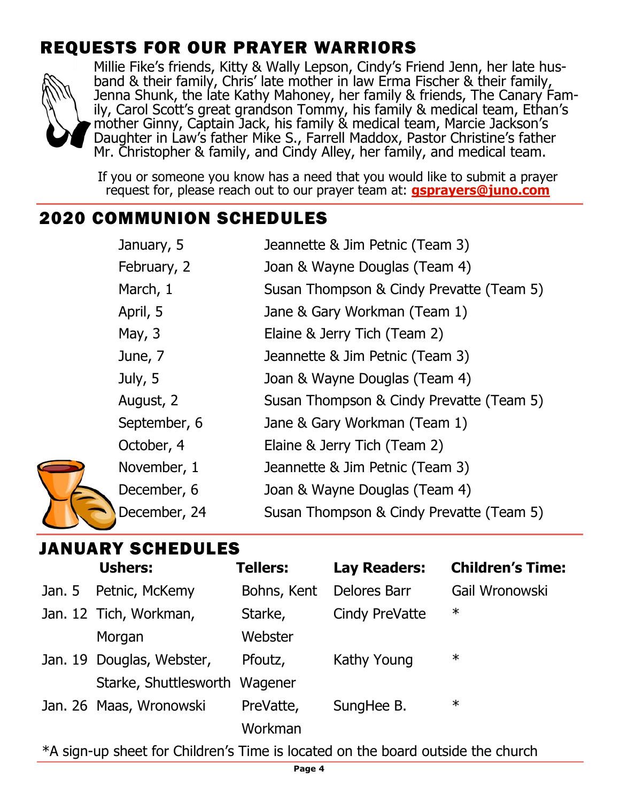## REQUESTS FOR OUR PRAYER WARRIORS



Millie Fike's friends, Kitty & Wally Lepson, Cindy's Friend Jenn, her late husband & their family, Chris' late mother in law Erma Fischer & their family, Jenna Shunk, the late Kathy Mahoney, her family & friends, The Canary Family, Carol Scott's great grandson Tommy, his family & medical team, Ethan's mother Ginny, Captain Jack, his family & medical team, Marcie Jackson's Daughter in Law's father Mike S., Farrell Maddox, Pastor Christine's father Mr. Christopher & family, and Cindy Alley, her family, and medical team.

If you or someone you know has a need that you would like to submit a prayer request for, please reach out to our prayer team at: **gsprayers@juno.com**

#### 2020 COMMUNION SCHEDULES

| January, 5   | Jeannette & Jim Petnic (Team 3)          |  |
|--------------|------------------------------------------|--|
| February, 2  | Joan & Wayne Douglas (Team 4)            |  |
| March, 1     | Susan Thompson & Cindy Prevatte (Team 5) |  |
| April, 5     | Jane & Gary Workman (Team 1)             |  |
| May, $3$     | Elaine & Jerry Tich (Team 2)             |  |
| June, 7      | Jeannette & Jim Petnic (Team 3)          |  |
| July, 5      | Joan & Wayne Douglas (Team 4)            |  |
| August, 2    | Susan Thompson & Cindy Prevatte (Team 5) |  |
| September, 6 | Jane & Gary Workman (Team 1)             |  |
| October, 4   | Elaine & Jerry Tich (Team 2)             |  |
| November, 1  | Jeannette & Jim Petnic (Team 3)          |  |
| December, 6  | Joan & Wayne Douglas (Team 4)            |  |
| December, 24 | Susan Thompson & Cindy Prevatte (Team 5) |  |

### JANUARY SCHEDULES

|        | <b>Ushers:</b>                | <b>Tellers:</b> | <b>Lay Readers:</b>   | <b>Children's Time:</b> |
|--------|-------------------------------|-----------------|-----------------------|-------------------------|
| Jan. 5 | Petnic, McKemy                | Bohns, Kent     | <b>Delores Barr</b>   | Gail Wronowski          |
|        | Jan. 12 Tich, Workman,        | Starke,         | <b>Cindy PreVatte</b> | $\ast$                  |
|        | Morgan                        | Webster         |                       |                         |
|        | Jan. 19 Douglas, Webster,     | Pfoutz,         | Kathy Young           | $\ast$                  |
|        | Starke, Shuttlesworth Wagener |                 |                       |                         |
|        | Jan. 26 Maas, Wronowski       | PreVatte,       | SungHee B.            | $\ast$                  |
|        |                               | Workman         |                       |                         |

\*A sign-up sheet for Children's Time is located on the board outside the church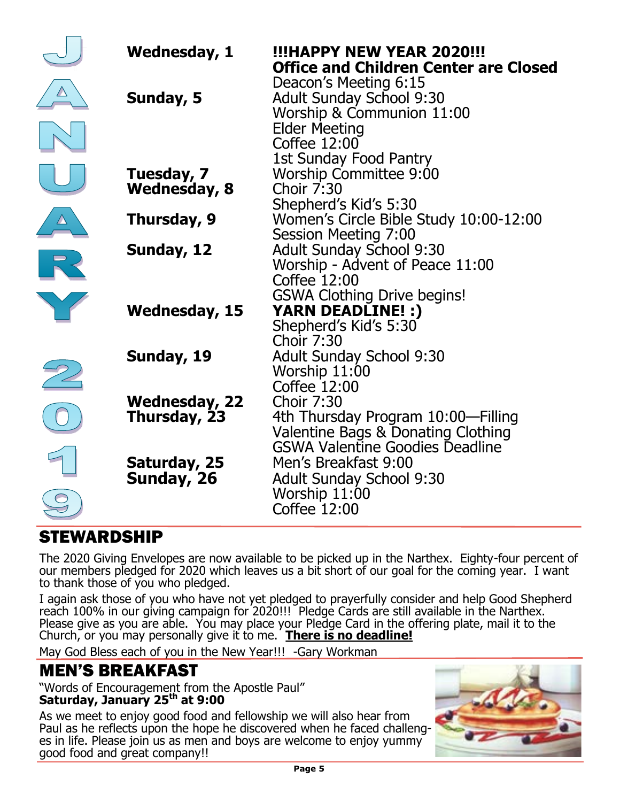| Wednesday, 1                         | <b>IIIHAPPY NEW YEAR 2020III</b><br><b>Office and Children Center are Closed</b>                                              |
|--------------------------------------|-------------------------------------------------------------------------------------------------------------------------------|
| Sunday, 5                            | Deacon's Meeting 6:15<br><b>Adult Sunday School 9:30</b><br>Worship & Communion 11:00<br><b>Elder Meeting</b><br>Coffee 12:00 |
| Tuesday, 7<br><b>Wednesday, 8</b>    | <b>1st Sunday Food Pantry</b><br><b>Worship Committee 9:00</b><br><b>Choir 7:30</b><br>Shepherd's Kid's 5:30                  |
| Thursday, 9                          | Women's Circle Bible Study 10:00-12:00<br>Session Meeting 7:00                                                                |
| Sunday, 12                           | Adult Sunday School 9:30<br>Worship - Advent of Peace 11:00<br>Coffee 12:00                                                   |
| <b>Wednesday, 15</b>                 | <b>GSWA Clothing Drive begins!</b><br><b>YARN DEADLINE! :)</b><br>Shepherd's Kid's 5:30                                       |
| Sunday, 19                           | <b>Choir 7:30</b><br><b>Adult Sunday School 9:30</b><br>Worship 11:00<br>Coffee 12:00                                         |
| <b>Wednesday, 22</b><br>Thursday, 23 | <b>Choir 7:30</b><br>4th Thursday Program 10:00—Filling<br>Valentine Bags & Donating Clothing                                 |
| Saturday, 25<br>Sunday, 26           | <b>GSWA Valentine Goodies Deadline</b><br>Men's Breakfast 9:00<br><b>Adult Sunday School 9:30</b>                             |
|                                      | Worship 11:00<br>Coffee 12:00                                                                                                 |

### STEWARDSHIP

The 2020 Giving Envelopes are now available to be picked up in the Narthex. Eighty-four percent of our members pledged for 2020 which leaves us a bit short of our goal for the coming year. I want to thank those of you who pledged.

I again ask those of you who have not yet pledged to prayerfully consider and help Good Shepherd reach 100% in our giving campaign for 2020!!! Pledge Cards are still available in the Narthex. Please give as you are able. You may place your Pledge Card in the offering plate, mail it to the Church, or you may personally give it to me. **There is no deadline!**

May God Bless each of you in the New Year!!! -Gary Workman

### MEN'S BREAKFAST

"Words of Encouragement from the Apostle Paul" **Saturday, January 25th at 9:00**

As we meet to enjoy good food and fellowship we will also hear from Paul as he reflects upon the hope he discovered when he faced challenges in life. Please join us as men and boys are welcome to enjoy yummy good food and great company!!